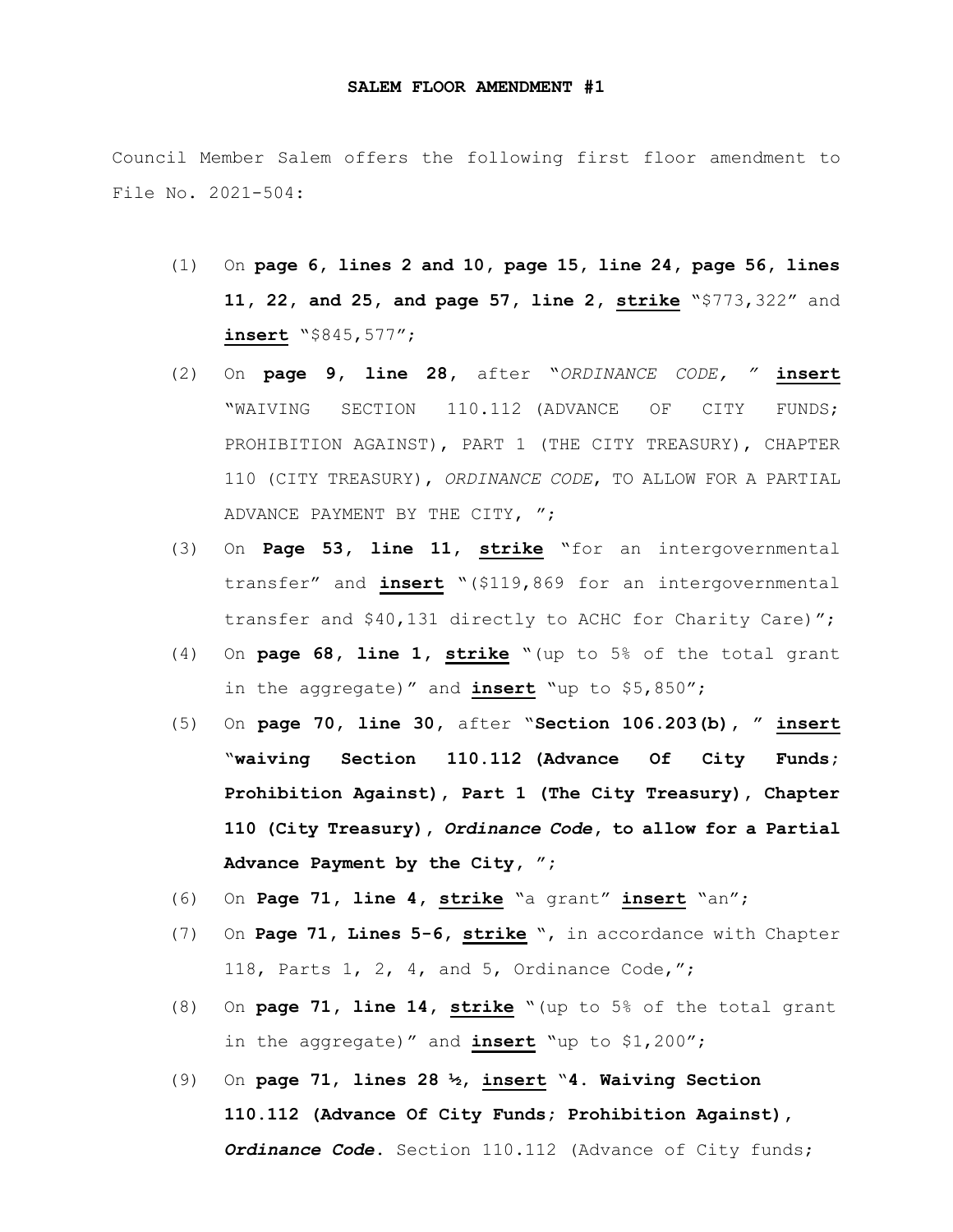Council Member Salem offers the following first floor amendment to File No. 2021-504:

- (1) On **page 6, lines 2 and 10, page 15, line 24, page 56, lines 11, 22, and 25, and page 57, line 2, strike** "\$773,322" and **insert** "\$845,577";
- (2) On **page 9, line 28,** after "*ORDINANCE CODE, "* **insert** "WAIVING SECTION 110.112 (ADVANCE OF CITY FUNDS; PROHIBITION AGAINST), PART 1 (THE CITY TREASURY), CHAPTER 110 (CITY TREASURY), *ORDINANCE CODE*, TO ALLOW FOR A PARTIAL ADVANCE PAYMENT BY THE CITY, ";
- (3) On **Page 53, line 11, strike** "for an intergovernmental transfer" and **insert** "(\$119,869 for an intergovernmental transfer and \$40,131 directly to ACHC for Charity Care)";
- (4) On **page 68, line 1, strike** "(up to 5% of the total grant in the aggregate)" and **insert** "up to \$5,850";
- (5) On **page 70, line 30,** after "**Section 106.203(b), " insert** "**waiving Section 110.112 (Advance Of City Funds; Prohibition Against), Part 1 (The City Treasury), Chapter 110 (City Treasury),** *Ordinance Code***, to allow for a Partial Advance Payment by the City, ";**
- (6) On **Page 71, line 4, strike** "a grant" **insert** "an";
- (7) On **Page 71, Lines 5-6, strike** ", in accordance with Chapter 118, Parts 1, 2, 4, and 5, Ordinance Code,";
- (8) On **page 71, line 14, strike** "(up to 5% of the total grant in the aggregate)" and **insert** "up to \$1,200";
- (9) On **page 71**, **lines 28 ½, insert** "**4. Waiving Section 110.112 (Advance Of City Funds; Prohibition Against),**  *Ordinance Code***.** Section 110.112 (Advance of City funds;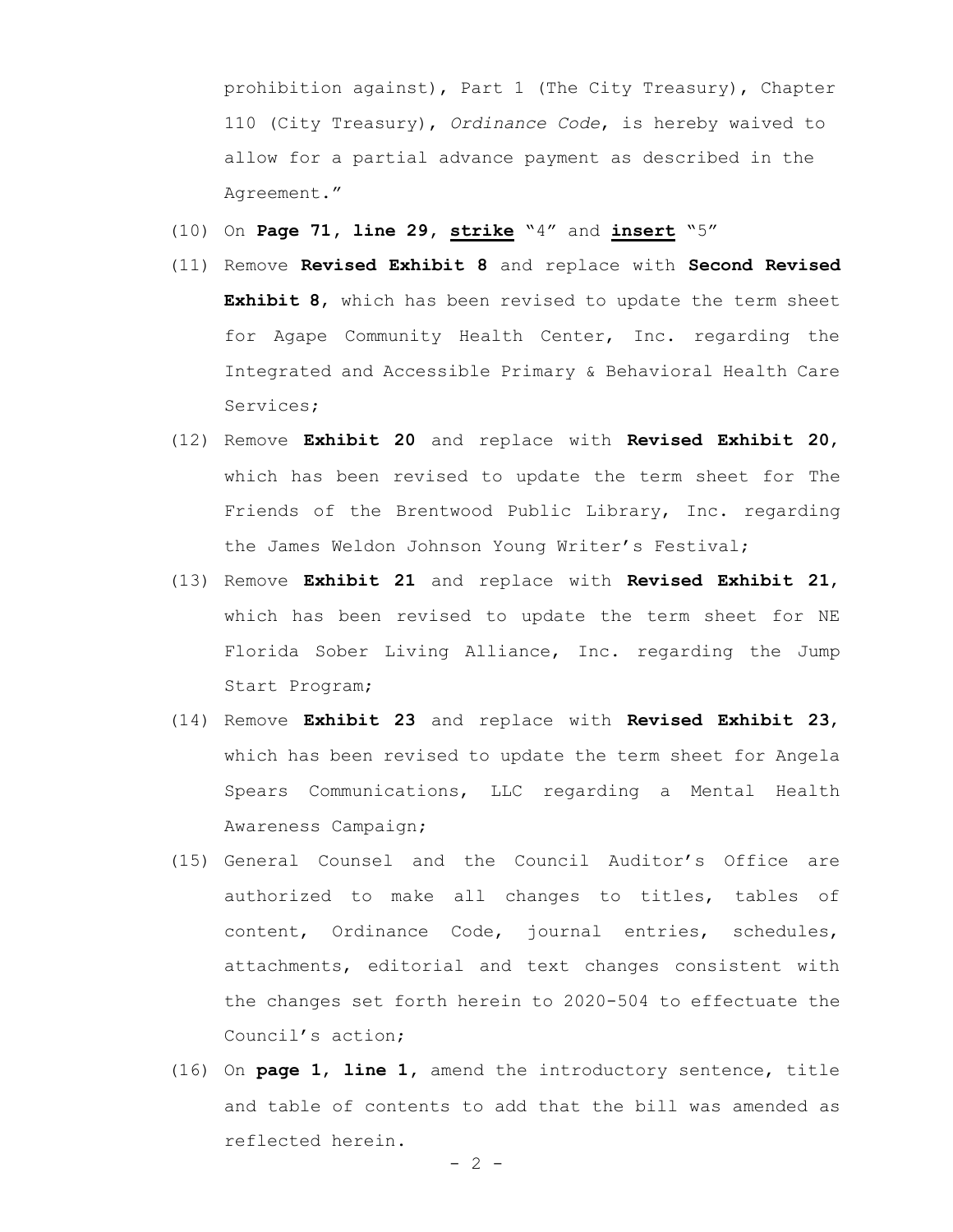prohibition against), Part 1 (The City Treasury), Chapter 110 (City Treasury), *Ordinance Code*, is hereby waived to allow for a partial advance payment as described in the Agreement."

- (10) On **Page 71, line 29, strike** "4" and **insert** "5"
- (11) Remove **Revised Exhibit 8** and replace with **Second Revised Exhibit 8**, which has been revised to update the term sheet for Agape Community Health Center, Inc. regarding the Integrated and Accessible Primary & Behavioral Health Care Services;
- (12) Remove **Exhibit 20** and replace with **Revised Exhibit 20**, which has been revised to update the term sheet for The Friends of the Brentwood Public Library, Inc. regarding the James Weldon Johnson Young Writer's Festival;
- (13) Remove **Exhibit 21** and replace with **Revised Exhibit 21**, which has been revised to update the term sheet for NE Florida Sober Living Alliance, Inc. regarding the Jump Start Program;
- (14) Remove **Exhibit 23** and replace with **Revised Exhibit 23**, which has been revised to update the term sheet for Angela Spears Communications, LLC regarding a Mental Health Awareness Campaign;
- (15) General Counsel and the Council Auditor's Office are authorized to make all changes to titles, tables of content, Ordinance Code, journal entries, schedules, attachments, editorial and text changes consistent with the changes set forth herein to 2020-504 to effectuate the Council's action;
- (16) On **page 1**, **line 1,** amend the introductory sentence, title and table of contents to add that the bill was amended as reflected herein.

 $- 2 -$